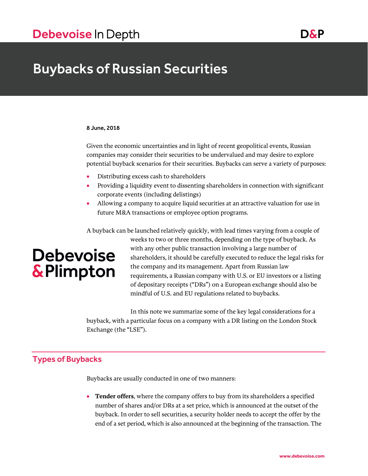## Buybacks of Russian Securities

#### 8 June, 2018

Given the economic uncertainties and in light of recent geopolitical events, Russian companies may consider their securities to be undervalued and may desire to explore potential buyback scenarios for their securities. Buybacks can serve a variety of purposes:

- Distributing excess cash to shareholders
- Providing a liquidity event to dissenting shareholders in connection with significant corporate events (including delistings)
- Allowing a company to acquire liquid securities at an attractive valuation for use in future M&A transactions or employee option programs.

A buyback can be launched relatively quickly, with lead times varying from a couple of weeks to two or three months, depending on the type of buyback. As with any other public transaction involving a large number of **Debevoise** shareholders, it should be carefully executed to reduce the legal risks for the company and its management. Apart from Russian law & Plimpton requirements, a Russian company with U.S. or EU investors or a listing of depositary receipts ("DRs") on a European exchange should also be mindful of U.S. and EU regulations related to buybacks.

> In this note we summarize some of the key legal considerations for a buyback, with a particular focus on a company with a DR listing on the London Stock Exchange (the "LSE").

## Types of Buybacks

Buybacks are usually conducted in one of two manners:

 **Tender offers**, where the company offers to buy from its shareholders a specified number of shares and/or DRs at a set price, which is announced at the outset of the buyback. In order to sell securities, a security holder needs to accept the offer by the end of a set period, which is also announced at the beginning of the transaction. The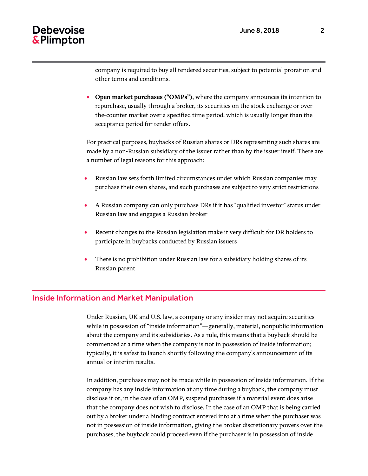company is required to buy all tendered securities, subject to potential proration and other terms and conditions.

 **Open market purchases ("OMPs")**, where the company announces its intention to repurchase, usually through a broker, its securities on the stock exchange or overthe-counter market over a specified time period, which is usually longer than the acceptance period for tender offers.

For practical purposes, buybacks of Russian shares or DRs representing such shares are made by a non-Russian subsidiary of the issuer rather than by the issuer itself. There are a number of legal reasons for this approach:

- Russian law sets forth limited circumstances under which Russian companies may purchase their own shares, and such purchases are subject to very strict restrictions
- A Russian company can only purchase DRs if it has "qualified investor" status under Russian law and engages a Russian broker
- Recent changes to the Russian legislation make it very difficult for DR holders to participate in buybacks conducted by Russian issuers
- There is no prohibition under Russian law for a subsidiary holding shares of its Russian parent

### Inside Information and Market Manipulation

Under Russian, UK and U.S. law, a company or any insider may not acquire securities while in possession of "inside information"—generally, material, nonpublic information about the company and its subsidiaries. As a rule, this means that a buyback should be commenced at a time when the company is not in possession of inside information; typically, it is safest to launch shortly following the company's announcement of its annual or interim results.

In addition, purchases may not be made while in possession of inside information. If the company has any inside information at any time during a buyback, the company must disclose it or, in the case of an OMP, suspend purchases if a material event does arise that the company does not wish to disclose. In the case of an OMP that is being carried out by a broker under a binding contract entered into at a time when the purchaser was not in possession of inside information, giving the broker discretionary powers over the purchases, the buyback could proceed even if the purchaser is in possession of inside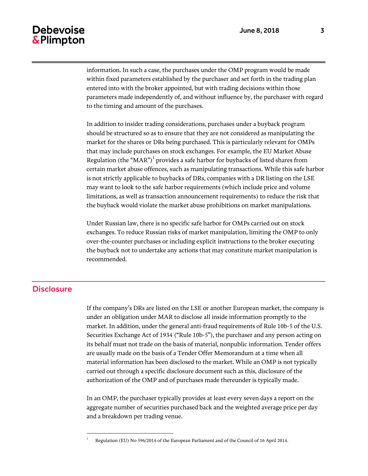information. In such a case, the purchases under the OMP program would be made within fixed parameters established by the purchaser and set forth in the trading plan entered into with the broker appointed, but with trading decisions within those parameters made independently of, and without influence by, the purchaser with regard to the timing and amount of the purchases.

In addition to insider trading considerations, purchases under a buyback program should be structured so as to ensure that they are not considered as manipulating the market for the shares or DRs being purchased. This is particularly relevant for OMPs that may include purchases on stock exchanges. For example, the EU Market Abuse Regulation (the " $\text{MAR''}\text{)}^1$  provides a safe harbor for buybacks of listed shares from certain market abuse offences, such as manipulating transactions. While this safe harbor is not strictly applicable to buybacks of DRs, companies with a DR listing on the LSE may want to look to the safe harbor requirements (which include price and volume limitations, as well as transaction announcement requirements) to reduce the risk that the buyback would violate the market abuse prohibitions on market manipulations.

Under Russian law, there is no specific safe harbor for OMPs carried out on stock exchanges. To reduce Russian risks of market manipulation, limiting the OMP to only over-the-counter purchases or including explicit instructions to the broker executing the buyback not to undertake any actions that may constitute market manipulation is recommended.

## **Disclosure**

 $\overline{a}$ 

If the company's DRs are listed on the LSE or another European market, the company is under an obligation under MAR to disclose all inside information promptly to the market. In addition, under the general anti-fraud requirements of Rule 10b-5 of the U.S. Securities Exchange Act of 1934 ("Rule 10b-5"), the purchaser and any person acting on its behalf must not trade on the basis of material, nonpublic information. Tender offers are usually made on the basis of a Tender Offer Memorandum at a time when all material information has been disclosed to the market. While an OMP is not typically carried out through a specific disclosure document such as this, disclosure of the authorization of the OMP and of purchases made thereunder is typically made.

In an OMP, the purchaser typically provides at least every seven days a report on the aggregate number of securities purchased back and the weighted average price per day and a breakdown per trading venue.

<sup>1</sup> Regulation (EU) No 596/2014 of the European Parliament and of the Council of 16 April 2014.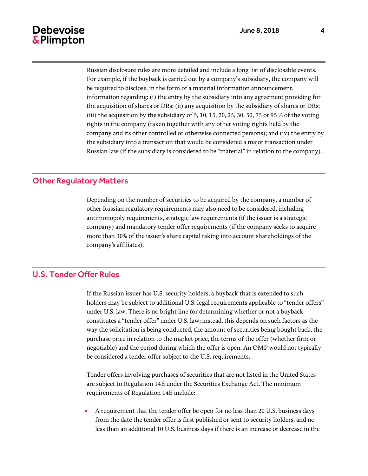Russian disclosure rules are more detailed and include a long list of disclosable events. For example, if the buyback is carried out by a company's subsidiary, the company will be required to disclose, in the form of a material information announcement, information regarding: (i) the entry by the subsidiary into any agreement providing for the acquisition of shares or DRs; (ii) any acquisition by the subsidiary of shares or DRs; (iii) the acquisition by the subsidiary of  $5, 10, 15, 20, 25, 30, 50, 75$  or  $95\%$  of the voting rights in the company (taken together with any other voting rights held by the company and its other controlled or otherwise connected persons); and (iv) the entry by the subsidiary into a transaction that would be considered a major transaction under Russian law (if the subsidiary is considered to be "material" in relation to the company).

## Other Regulatory Matters

Depending on the number of securities to be acquired by the company, a number of other Russian regulatory requirements may also need to be considered, including antimonopoly requirements, strategic law requirements (if the issuer is a strategic company) and mandatory tender offer requirements (if the company seeks to acquire more than 30% of the issuer's share capital taking into account shareholdings of the company's affiliates).

#### U.S. Tender Offer Rules

If the Russian issuer has U.S. security holders, a buyback that is extended to such holders may be subject to additional U.S. legal requirements applicable to "tender offers" under U.S. law. There is no bright line for determining whether or not a buyback constitutes a "tender offer" under U.S. law; instead, this depends on such factors as the way the solicitation is being conducted, the amount of securities being bought back, the purchase price in relation to the market price, the terms of the offer (whether firm or negotiable) and the period during which the offer is open. An OMP would not typically be considered a tender offer subject to the U.S. requirements.

Tender offers involving purchases of securities that are not listed in the United States are subject to Regulation 14E under the Securities Exchange Act. The minimum requirements of Regulation 14E include:

 A requirement that the tender offer be open for no less than 20 U.S. business days from the date the tender offer is first published or sent to security holders, and no less than an additional 10 U.S. business days if there is an increase or decrease in the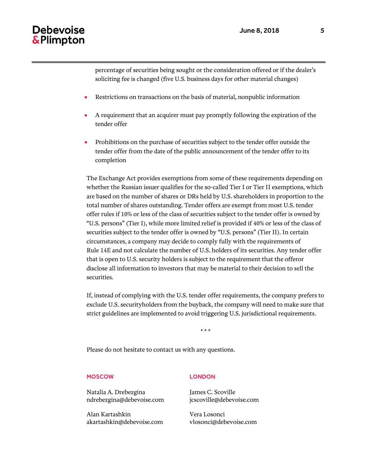percentage of securities being sought or the consideration offered or if the dealer's soliciting fee is changed (five U.S. business days for other material changes)

- Restrictions on transactions on the basis of material, nonpublic information
- A requirement that an acquirer must pay promptly following the expiration of the tender offer
- Prohibitions on the purchase of securities subject to the tender offer outside the tender offer from the date of the public announcement of the tender offer to its completion

The Exchange Act provides exemptions from some of these requirements depending on whether the Russian issuer qualifies for the so-called Tier I or Tier II exemptions, which are based on the number of shares or DRs held by U.S. shareholders in proportion to the total number of shares outstanding. Tender offers are exempt from most U.S. tender offer rules if 10% or less of the class of securities subject to the tender offer is owned by "U.S. persons" (Tier I), while more limited relief is provided if 40% or less of the class of securities subject to the tender offer is owned by "U.S. persons" (Tier II). In certain circumstances, a company may decide to comply fully with the requirements of Rule 14E and not calculate the number of U.S. holders of its securities. Any tender offer that is open to U.S. security holders is subject to the requirement that the offeror disclose all information to investors that may be material to their decision to sell the securities.

If, instead of complying with the U.S. tender offer requirements, the company prefers to exclude U.S. securityholders from the buyback, the company will need to make sure that strict guidelines are implemented to avoid triggering U.S. jurisdictional requirements.

\* \* \*

Please do not hesitate to contact us with any questions.

#### MOSCOW

Natalia A. Drebezgina ndrebezgina@debevoise.com

Alan Kartashkin akartashkin@debevoise.com

#### **LONDON**

James C. Scoville jcscoville@debevoise.com

Vera Losonci vlosonci@debevoise.com